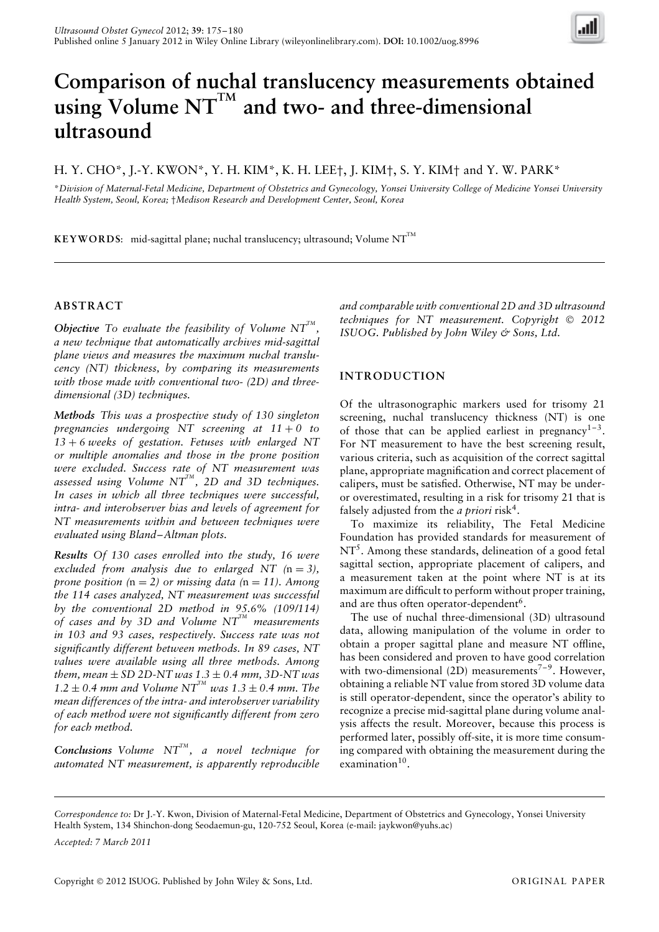

# **Comparison of nuchal translucency measurements obtained using Volume NTTM and two- and three-dimensional ultrasound**

# H. Y. CHO\*, J.-Y. KWON\*, Y. H. KIM\*, K. H. LEE†, J. KIM†, S. Y. KIM† and Y. W. PARK\*

\**Division of Maternal-Fetal Medicine, Department of Obstetrics and Gynecology, Yonsei University College of Medicine Yonsei University Health System, Seoul, Korea;* †*Medison Research and Development Center, Seoul, Korea*

KEYWORDS: mid-sagittal plane; nuchal translucency; ultrasound; Volume NT<sup>TM</sup>

### **ABSTRACT**

*Objective* To evaluate the feasibility of Volume  $NT^{m}$ , *a new technique that automatically archives mid-sagittal plane views and measures the maximum nuchal translucency (NT) thickness, by comparing its measurements with those made with conventional two- (2D) and threedimensional (3D) techniques.*

*Methods This was a prospective study of 130 singleton pregnancies undergoing NT screening at 11* + *0 to 13* + *6 weeks of gestation. Fetuses with enlarged NT or multiple anomalies and those in the prone position were excluded. Success rate of NT measurement was assessed using Volume NTTM , 2D and 3D techniques. In cases in which all three techniques were successful, intra- and interobserver bias and levels of agreement for NT measurements within and between techniques were evaluated using Bland–Altman plots.*

*Results Of 130 cases enrolled into the study, 16 were excluded from analysis due to enlarged NT*  $(n = 3)$ , *prone position*  $(n = 2)$  *or missing data*  $(n = 11)$ *. Among the 114 cases analyzed, NT measurement was successful by the conventional 2D method in 95.6% (109/114) of cases and by 3D and Volume NTTM measurements in 103 and 93 cases, respectively. Success rate was not significantly different between methods. In 89 cases, NT values were available using all three methods. Among them, mean*  $\pm$  *SD 2D-NT was*  $1.3 \pm 0.4$  *mm, 3D-NT was*  $1.2 \pm 0.4$  *mm and Volume NT<sup>TM</sup> was*  $1.3 \pm 0.4$  *<i>mm. The mean differences of the intra- and interobserver variability of each method were not significantly different from zero for each method.*

**Conclusions** Volume  $NT^{TM}$ , a novel technique for *automated NT measurement, is apparently reproducible*

*and comparable with conventional 2D and 3D ultrasound techniques for NT measurement. Copyright 2012 ISUOG. Published by John Wiley & Sons, Ltd.*

### **INTRODUCTION**

Of the ultrasonographic markers used for trisomy 21 screening, nuchal translucency thickness (NT) is one of those that can be applied earliest in pregnancy<sup>1-3</sup>. For NT measurement to have the best screening result, various criteria, such as acquisition of the correct sagittal plane, appropriate magnification and correct placement of calipers, must be satisfied. Otherwise, NT may be underor overestimated, resulting in a risk for trisomy 21 that is falsely adjusted from the *a priori* risk4.

To maximize its reliability, The Fetal Medicine Foundation has provided standards for measurement of  $NT<sup>5</sup>$ . Among these standards, delineation of a good fetal sagittal section, appropriate placement of calipers, and a measurement taken at the point where NT is at its maximum are difficult to perform without proper training, and are thus often operator-dependent<sup>6</sup>.

The use of nuchal three-dimensional (3D) ultrasound data, allowing manipulation of the volume in order to obtain a proper sagittal plane and measure NT offline, has been considered and proven to have good correlation with two-dimensional  $(2D)$  measurements<sup>7-9</sup>. However, obtaining a reliable NT value from stored 3D volume data is still operator-dependent, since the operator's ability to recognize a precise mid-sagittal plane during volume analysis affects the result. Moreover, because this process is performed later, possibly off-site, it is more time consuming compared with obtaining the measurement during the examination $10$ .

*Accepted: 7 March 2011*

*Correspondence to:* Dr J.-Y. Kwon, Division of Maternal-Fetal Medicine, Department of Obstetrics and Gynecology, Yonsei University Health System, 134 Shinchon-dong Seodaemun-gu, 120-752 Seoul, Korea (e-mail: jaykwon@yuhs.ac)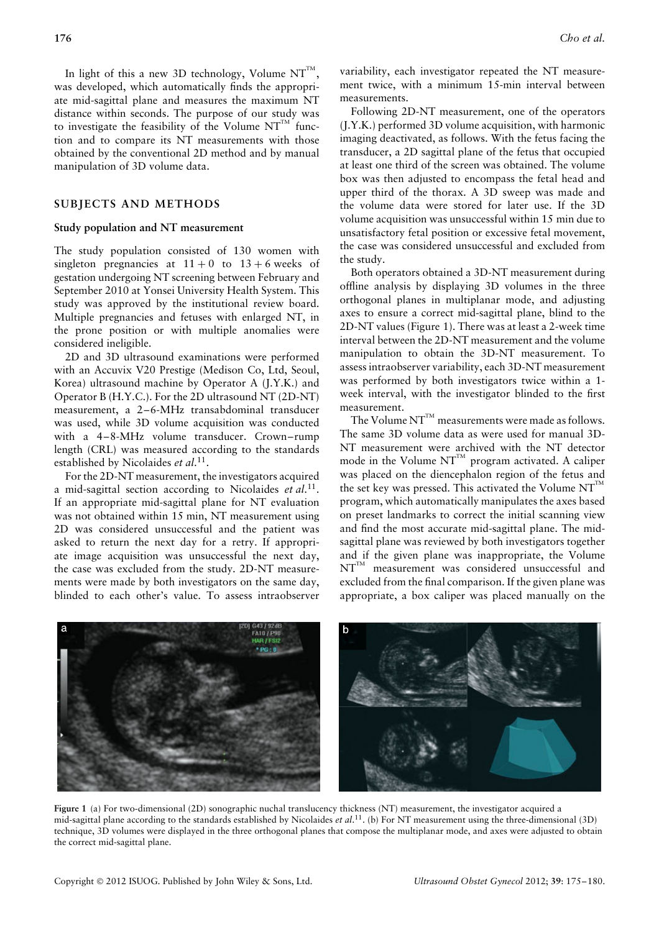In light of this a new 3D technology, Volume  $NT^{TM}$ , was developed, which automatically finds the appropriate mid-sagittal plane and measures the maximum NT distance within seconds. The purpose of our study was to investigate the feasibility of the Volume  $NT^{TM}$  function and to compare its NT measurements with those obtained by the conventional 2D method and by manual manipulation of 3D volume data.

### **SUBJECTS AND METHODS**

#### **Study population and NT measurement**

The study population consisted of 130 women with singleton pregnancies at  $11 + 0$  to  $13 + 6$  weeks of gestation undergoing NT screening between February and September 2010 at Yonsei University Health System. This study was approved by the institutional review board. Multiple pregnancies and fetuses with enlarged NT, in the prone position or with multiple anomalies were considered ineligible.

2D and 3D ultrasound examinations were performed with an Accuvix V20 Prestige (Medison Co, Ltd, Seoul, Korea) ultrasound machine by Operator A (J.Y.K.) and Operator B (H.Y.C.). For the 2D ultrasound NT (2D-NT) measurement, a 2–6-MHz transabdominal transducer was used, while 3D volume acquisition was conducted with a 4–8-MHz volume transducer. Crown–rump length (CRL) was measured according to the standards established by Nicolaides *et al*. 11.

For the 2D-NT measurement, the investigators acquired a mid-sagittal section according to Nicolaides *et al*. 11. If an appropriate mid-sagittal plane for NT evaluation was not obtained within 15 min, NT measurement using 2D was considered unsuccessful and the patient was asked to return the next day for a retry. If appropriate image acquisition was unsuccessful the next day, the case was excluded from the study. 2D-NT measurements were made by both investigators on the same day, blinded to each other's value. To assess intraobserver variability, each investigator repeated the NT measurement twice, with a minimum 15-min interval between measurements.

Following 2D-NT measurement, one of the operators (J.Y.K.) performed 3D volume acquisition, with harmonic imaging deactivated, as follows. With the fetus facing the transducer, a 2D sagittal plane of the fetus that occupied at least one third of the screen was obtained. The volume box was then adjusted to encompass the fetal head and upper third of the thorax. A 3D sweep was made and the volume data were stored for later use. If the 3D volume acquisition was unsuccessful within 15 min due to unsatisfactory fetal position or excessive fetal movement, the case was considered unsuccessful and excluded from the study.

Both operators obtained a 3D-NT measurement during offline analysis by displaying 3D volumes in the three orthogonal planes in multiplanar mode, and adjusting axes to ensure a correct mid-sagittal plane, blind to the 2D-NT values (Figure 1). There was at least a 2-week time interval between the 2D-NT measurement and the volume manipulation to obtain the 3D-NT measurement. To assess intraobserver variability, each 3D-NT measurement was performed by both investigators twice within a 1 week interval, with the investigator blinded to the first measurement.

The Volume  $NT^{\mathbb{M}}$  measurements were made as follows. The same 3D volume data as were used for manual 3D-NT measurement were archived with the NT detector mode in the Volume NT $^{TM}$  program activated. A caliper was placed on the diencephalon region of the fetus and the set key was pressed. This activated the Volume  $NT^M$ program, which automatically manipulates the axes based on preset landmarks to correct the initial scanning view and find the most accurate mid-sagittal plane. The midsagittal plane was reviewed by both investigators together and if the given plane was inappropriate, the Volume  $NT^{TM}$  measurement was considered unsuccessful and excluded from the final comparison. If the given plane was appropriate, a box caliper was placed manually on the



b

mid-sagittal plane according to the standards established by Nicolaides *et al*. 11. (b) For NT measurement using the three-dimensional (3D) technique, 3D volumes were displayed in the three orthogonal planes that compose the multiplanar mode, and axes were adjusted to obtain the correct mid-sagittal plane.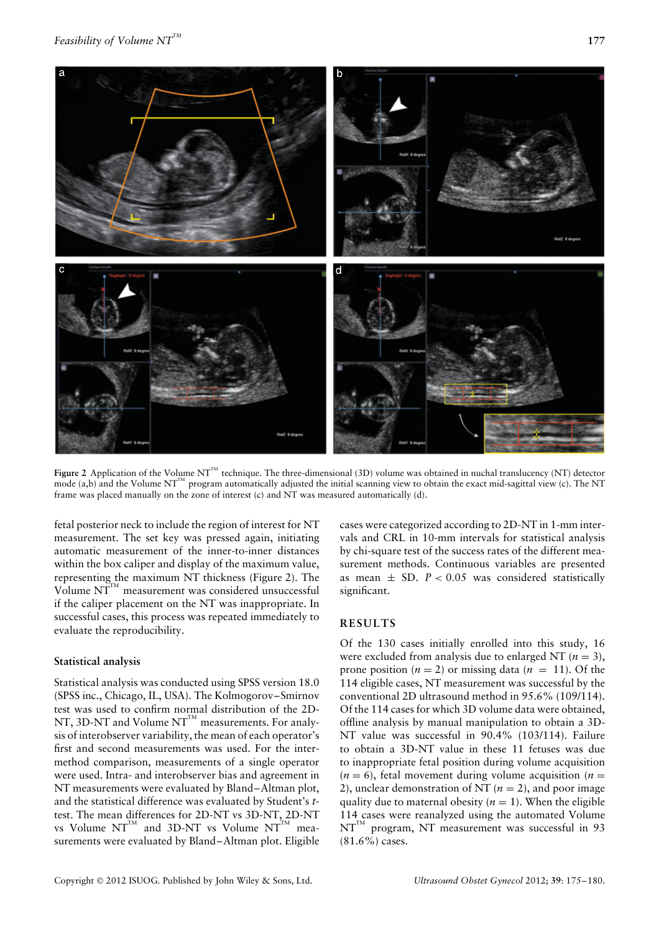

Figure 2 Application of the Volume NT<sup>TM</sup> technique. The three-dimensional (3D) volume was obtained in nuchal translucency (NT) detector mode (a,b) and the Volume NT<sup>TM</sup> program automatically adjusted the initial scanning view to obtain the exact mid-sagittal view (c). The NT frame was placed manually on the zone of interest (c) and NT was measured automatically (d).

fetal posterior neck to include the region of interest for NT measurement. The set key was pressed again, initiating automatic measurement of the inner-to-inner distances within the box caliper and display of the maximum value, representing the maximum NT thickness (Figure 2). The Volume  $NT^{TM}$  measurement was considered unsuccessful if the caliper placement on the NT was inappropriate. In successful cases, this process was repeated immediately to evaluate the reproducibility.

## **Statistical analysis**

Statistical analysis was conducted using SPSS version 18.0 (SPSS inc., Chicago, IL, USA). The Kolmogorov–Smirnov test was used to confirm normal distribution of the 2D-NT, 3D-NT and Volume  $NT^{TM}$  measurements. For analysis of interobserver variability, the mean of each operator's first and second measurements was used. For the intermethod comparison, measurements of a single operator were used. Intra- and interobserver bias and agreement in NT measurements were evaluated by Bland–Altman plot, and the statistical difference was evaluated by Student's *t*test. The mean differences for 2D-NT vs 3D-NT, 2D-NT vs Volume  $NT^{TM}$  and 3D-NT vs Volume  $NT^{TM}$  measurements were evaluated by Bland–Altman plot. Eligible

cases were categorized according to 2D-NT in 1-mm intervals and CRL in 10-mm intervals for statistical analysis by chi-square test of the success rates of the different measurement methods. Continuous variables are presented as mean  $\pm$  SD.  $P < 0.05$  was considered statistically significant.

## **RESULTS**

Of the 130 cases initially enrolled into this study, 16 were excluded from analysis due to enlarged NT ( $n = 3$ ), prone position  $(n = 2)$  or missing data  $(n = 11)$ . Of the 114 eligible cases, NT measurement was successful by the conventional 2D ultrasound method in 95.6% (109/114). Of the 114 cases for which 3D volume data were obtained, offline analysis by manual manipulation to obtain a 3D-NT value was successful in 90.4% (103/114). Failure to obtain a 3D-NT value in these 11 fetuses was due to inappropriate fetal position during volume acquisition  $(n = 6)$ , fetal movement during volume acquisition  $(n = 6)$ 2), unclear demonstration of NT  $(n = 2)$ , and poor image quality due to maternal obesity  $(n = 1)$ . When the eligible 114 cases were reanalyzed using the automated Volume  $NT^{TM}$  program, NT measurement was successful in 93 (81.6%) cases.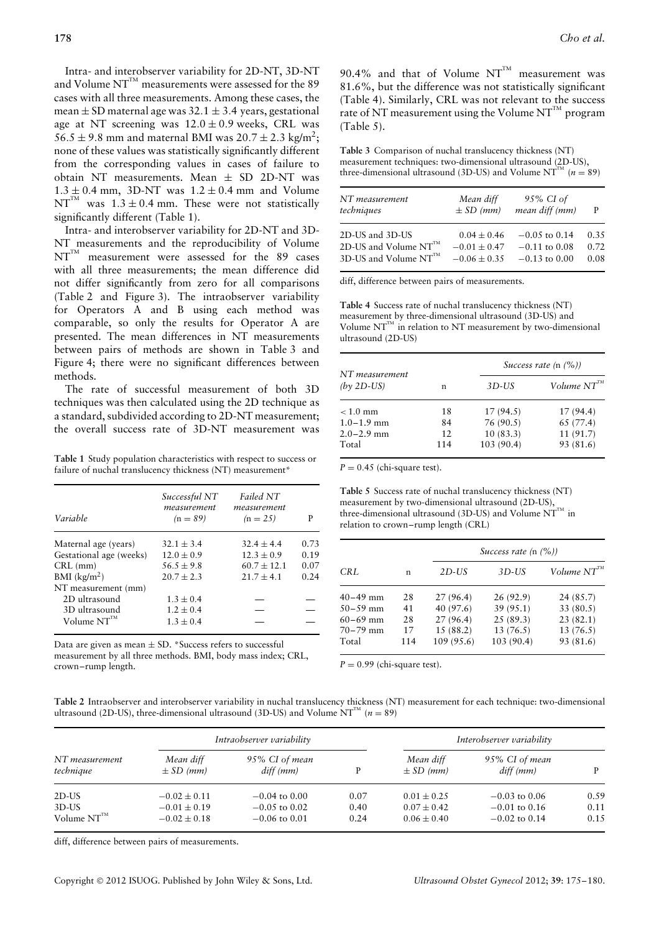Intra- and interobserver variability for 2D-NT, 3D-NT and Volume  $NT^{TM}$  measurements were assessed for the 89 cases with all three measurements. Among these cases, the mean  $\pm$  SD maternal age was 32.1  $\pm$  3.4 years, gestational age at NT screening was  $12.0 \pm 0.9$  weeks, CRL was  $56.5 \pm 9.8$  mm and maternal BMI was  $20.7 \pm 2.3$  kg/m<sup>2</sup>; none of these values was statistically significantly different from the corresponding values in cases of failure to obtain NT measurements. Mean  $\pm$  SD 2D-NT was  $1.3 \pm 0.4$  mm, 3D-NT was  $1.2 \pm 0.4$  mm and Volume  $NT^{TM}$  was  $1.3 \pm 0.4$  mm. These were not statistically significantly different (Table 1).

Intra- and interobserver variability for 2D-NT and 3D-NT measurements and the reproducibility of Volume  $NT<sup>TM</sup>$  measurement were assessed for the 89 cases with all three measurements; the mean difference did not differ significantly from zero for all comparisons (Table 2 and Figure 3). The intraobserver variability for Operators A and B using each method was comparable, so only the results for Operator A are presented. The mean differences in NT measurements between pairs of methods are shown in Table 3 and Figure 4; there were no significant differences between methods.

The rate of successful measurement of both 3D techniques was then calculated using the 2D technique as a standard, subdivided according to 2D-NT measurement; the overall success rate of 3D-NT measurement was

**Table 1** Study population characteristics with respect to success or failure of nuchal translucency thickness (NT) measurement\*

| Variable                | Successful NT<br>measurement<br>$(n = 89)$ | Failed NT<br>measurement<br>$(n = 25)$ | P    |
|-------------------------|--------------------------------------------|----------------------------------------|------|
| Maternal age (years)    | $32.1 \pm 3.4$                             | $32.4 + 4.4$                           | 0.73 |
| Gestational age (weeks) | $12.0 \pm 0.9$                             | $12.3 \pm 0.9$                         | 0.19 |
| $CRL$ (mm)              | $56.5 \pm 9.8$                             | $60.7 + 12.1$                          | 0.07 |
| BMI $(kg/m2)$           | $20.7 + 2.3$                               | $21.7 \pm 4.1$                         | 0.24 |
| NT measurement (mm)     |                                            |                                        |      |
| 2D ultrasound           | $1.3 \pm 0.4$                              |                                        |      |
| 3D ultrasound           | $1.2 \pm 0.4$                              |                                        |      |
| Volume $NT^{m}$         | $1.3 \pm 0.4$                              |                                        |      |

Data are given as mean  $\pm$  SD. \*Success refers to successful measurement by all three methods. BMI, body mass index; CRL, crown–rump length.

90.4% and that of Volume  $NT^{TM}$  measurement was 81.6%, but the difference was not statistically significant (Table 4). Similarly, CRL was not relevant to the success rate of NT measurement using the Volume NT $^{\text{\tiny{\textsf{TM}}}}$  program (Table 5).

**Table 3** Comparison of nuchal translucency thickness (NT) measurement techniques: two-dimensional ultrasound (2D-US), three-dimensional ultrasound (3D-US) and Volume NT<sup>TM</sup> ( $n = 89$ )

| NT measurement             | Mean diff        | 95% CI of         | P    |
|----------------------------|------------------|-------------------|------|
| techniques                 | $\pm$ SD (mm)    | mean diff (mm)    |      |
| 2D-US and 3D-US            | $0.04 \pm 0.46$  | $-0.05$ to 0.14   | 0.35 |
| 2D-US and Volume $NT^{TM}$ | $-0.01 \pm 0.47$ | $-0.11$ to $0.08$ | 0.72 |
| 3D-US and Volume NT™       | $-0.06 \pm 0.35$ | $-0.13$ to $0.00$ | 0.08 |

diff, difference between pairs of measurements.

**Table 4** Success rate of nuchal translucency thickness (NT) measurement by three-dimensional ultrasound (3D-US) and Volume  $NT^{TM}$  in relation to NT measurement by two-dimensional ultrasound (2D-US)

|                                |     |            | Success rate $(n \, (%)$ |  |  |
|--------------------------------|-----|------------|--------------------------|--|--|
| NT measurement<br>$(bv 2D-US)$ | n   | $3D$ -US   | Volume $NT^{m}$          |  |  |
| $< 1.0$ mm                     | 18  | 17(94.5)   | 17(94.4)                 |  |  |
| $1.0 - 1.9$ mm                 | 84  | 76 (90.5)  | 65 (77.4)                |  |  |
| $2.0 - 2.9$ mm                 | 12. | 10(83.3)   | 11(91.7)                 |  |  |
| Total                          | 114 | 103 (90.4) | 93 (81.6)                |  |  |

 $P = 0.45$  (chi-square test).

**Table 5** Success rate of nuchal translucency thickness (NT) measurement by two-dimensional ultrasound (2D-US), three-dimensional ultrasound (3D-US) and Volume  $NT^{\text{TM}}$  in relation to crown–rump length (CRL)

|              |     |            | Success rate $(n (%)$ |                 |  |  |
|--------------|-----|------------|-----------------------|-----------------|--|--|
| CRL          | n   | $2D$ -US   | $3D$ -US              | Volume $NT^{m}$ |  |  |
| $40 - 49$ mm | 28  | 27(96.4)   | 26(92.9)              | 24 (85.7)       |  |  |
| $50 - 59$ mm | 41  | 40 (97.6)  | 39(95.1)              | 33 (80.5)       |  |  |
| $60 - 69$ mm | 28  | 27(96.4)   | 25(89.3)              | 23(82.1)        |  |  |
| $70 - 79$ mm | 17  | 15 (88.2)  | 13(76.5)              | 13(76.5)        |  |  |
| Total        | 114 | 109 (95.6) | 103 (90.4)            | 93 (81.6)       |  |  |

 $P = 0.99$  (chi-square test).

**Table 2** Intraobserver and interobserver variability in nuchal translucency thickness (NT) measurement for each technique: two-dimensional ultrasound (2D-US), three-dimensional ultrasound (3D-US) and Volume  $NT^{TM}$  (*n* = 89)

| NT measurement<br>technique             | Intraobserver variability                                |                                                         |                      | Interobserver variability                             |                                                       |                      |
|-----------------------------------------|----------------------------------------------------------|---------------------------------------------------------|----------------------|-------------------------------------------------------|-------------------------------------------------------|----------------------|
|                                         | Mean diff<br>$\pm SD$ (mm)                               | 95% CI of mean<br>$diff$ ( $mm$ )                       |                      | Mean diff<br>$\pm$ SD (mm)                            | 95% CI of mean<br>$diff$ (mm)                         |                      |
| $2D$ -US<br>$3D$ -US<br>Volume $NT^{m}$ | $-0.02 \pm 0.11$<br>$-0.01 \pm 0.19$<br>$-0.02 \pm 0.18$ | $-0.04$ to $0.00$<br>$-0.05$ to 0.02<br>$-0.06$ to 0.01 | 0.07<br>0.40<br>0.24 | $0.01 \pm 0.25$<br>$0.07 \pm 0.42$<br>$0.06 \pm 0.40$ | $-0.03$ to 0.06<br>$-0.01$ to 0.16<br>$-0.02$ to 0.14 | 0.59<br>0.11<br>0.15 |

diff, difference between pairs of measurements.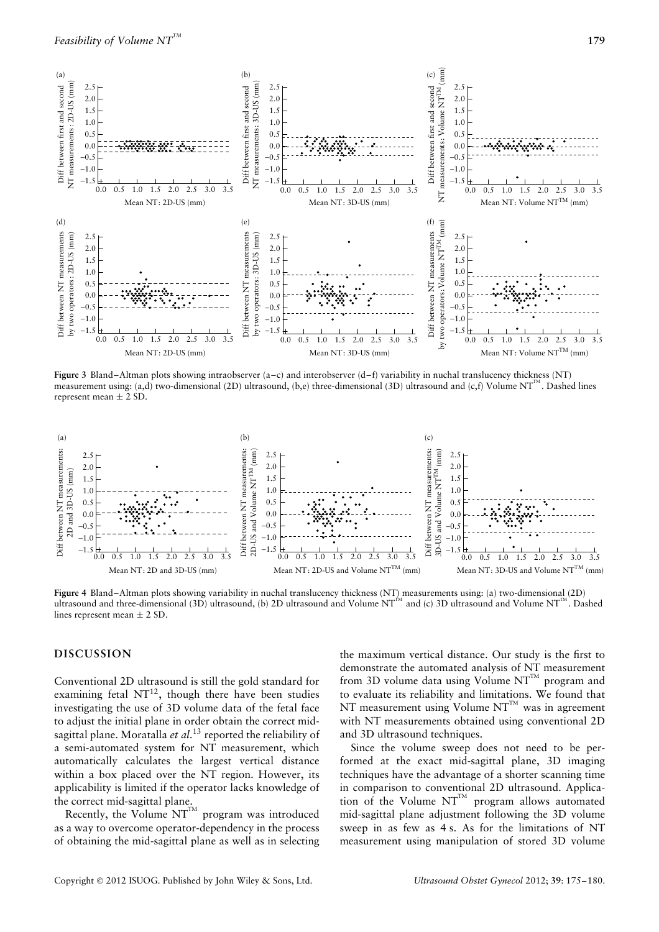

**Figure 3** Bland–Altman plots showing intraobserver (a–c) and interobserver (d–f) variability in nuchal translucency thickness (NT) measurement using: (a,d) two-dimensional (2D) ultrasound, (b,e) three-dimensional (3D) ultrasound and (c,f) Volume NT<sup>IM</sup>. Dashed lines represent mean  $\pm$  2 SD.



**Figure 4** Bland–Altman plots showing variability in nuchal translucency thickness (NT) measurements using: (a) two-dimensional (2D) ultrasound and three-dimensional (3D) ultrasound, (b) 2D ultrasound and Volume  $NT^M$  and (c) 3D ultrasound and Volume  $NT^M$ . Dashed lines represent mean  $\pm$  2 SD.

#### **DISCUSSION**

Conventional 2D ultrasound is still the gold standard for examining fetal  $NT^{12}$ , though there have been studies investigating the use of 3D volume data of the fetal face to adjust the initial plane in order obtain the correct midsagittal plane. Moratalla *et al*. <sup>13</sup> reported the reliability of a semi-automated system for NT measurement, which automatically calculates the largest vertical distance within a box placed over the NT region. However, its applicability is limited if the operator lacks knowledge of the correct mid-sagittal plane.

Recently, the Volume  $NT^{TM}$  program was introduced as a way to overcome operator-dependency in the process of obtaining the mid-sagittal plane as well as in selecting the maximum vertical distance. Our study is the first to demonstrate the automated analysis of NT measurement from 3D volume data using Volume  $NT^{TM}$  program and to evaluate its reliability and limitations. We found that NT measurement using Volume  $NT^{TM}$  was in agreement with NT measurements obtained using conventional 2D and 3D ultrasound techniques.

Since the volume sweep does not need to be performed at the exact mid-sagittal plane, 3D imaging techniques have the advantage of a shorter scanning time in comparison to conventional 2D ultrasound. Application of the Volume  $NT^{TM}$  program allows automated mid-sagittal plane adjustment following the 3D volume sweep in as few as 4 s. As for the limitations of NT measurement using manipulation of stored 3D volume